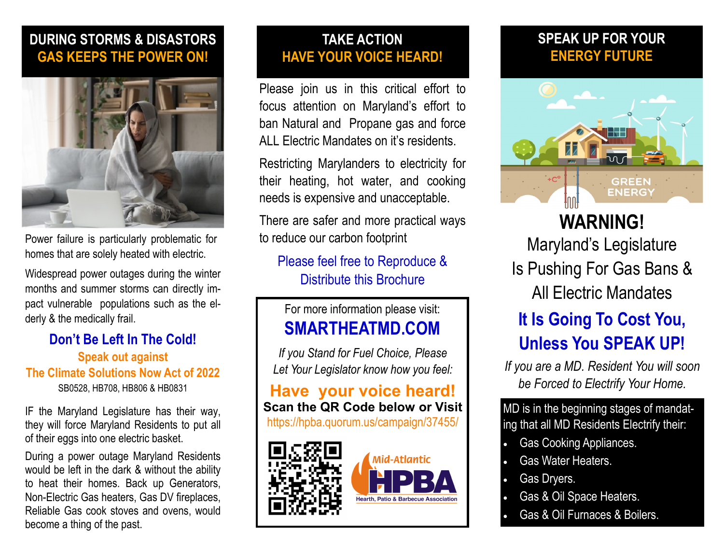#### **DURING STORMS & DISASTORS GAS KEEPS THE POWER ON!**



[Power failure](http://ready.nj.gov/mitigation/pdf/2019/mit2019_section5-22_Power_Failure.pdf) is particularly problematic for homes that are solely heated with electric.

Widespread power outages during the winter months and summer storms can directly impact vulnerable populations such as the elderly & the medically frail.

#### **Don't Be Left In The Cold! Speak out against The Climate Solutions Now Act of 2022** SB0528, HB708, HB806 & HB0831

IF the Maryland Legislature has their way, they will force Maryland Residents to put all of their eggs into one electric basket.

During a power outage Maryland Residents would be left in the dark & without the ability to heat their homes. Back up Generators, Non-Electric Gas heaters, Gas DV fireplaces, Reliable Gas cook stoves and ovens, would become a thing of the past.

#### **TAKE ACTION HAVE YOUR VOICE HEARD!**

Please join us in this critical effort to focus attention on Maryland's effort to ban Natural and Propane gas and force ALL Electric Mandates on it's residents.

Restricting Marylanders to electricity for their heating, hot water, and cooking needs is expensive and unacceptable.

There are safer and more practical ways to reduce our carbon footprint

#### Please feel free to Reproduce & Distribute this Brochure

#### For more information please visit: **SMARTHEATMD.COM**

*If you Stand for Fuel Choice, Please Let Your Legislator know how you feel:* 

**Have your voice heard! Scan the QR Code below or Visit**  https://hpba.quorum.us/campaign/37455/



#### **SPEAK UP FOR YOUR ENERGY FUTURE**



**WARNING!**  Maryland's Legislature Is Pushing For Gas Bans & All Electric Mandates

# **It Is Going To Cost You, Unless You SPEAK UP!**

*If you are a MD. Resident You will soon be Forced to Electrify Your Home.* 

MD is in the beginning stages of mandating that all MD Residents Electrify their:

- Gas Cooking Appliances.
- Gas Water Heaters.
- Gas Dryers.
- Gas & Oil Space Heaters.
- Gas & Oil Furnaces & Boilers.